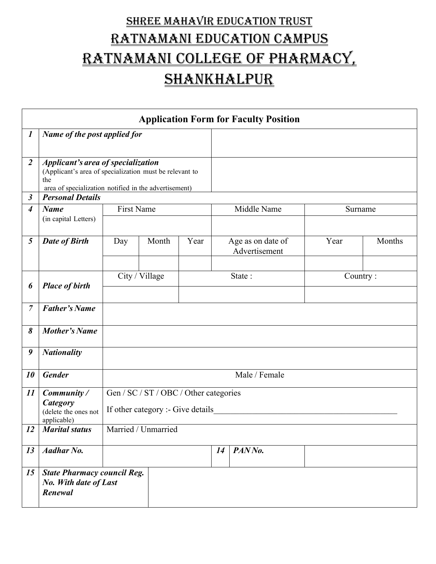## SHREE MAHAVIR EDUCATION TRUST RATNAMANI EDUCATION CAMPUS RATNAMANI COLLEGE OF PHARMACY, **SHANKHALPUR**

|                      |                                                                                                                                                                      |                   |                                                                             |        |    | <b>Application Form for Faculty Position</b> |      |         |  |
|----------------------|----------------------------------------------------------------------------------------------------------------------------------------------------------------------|-------------------|-----------------------------------------------------------------------------|--------|----|----------------------------------------------|------|---------|--|
| $\boldsymbol{l}$     | Name of the post applied for                                                                                                                                         |                   |                                                                             |        |    |                                              |      |         |  |
| $\overline{2}$       | <b>Applicant's area of specialization</b><br>(Applicant's area of specialization must be relevant to<br>the<br>area of specialization notified in the advertisement) |                   |                                                                             |        |    |                                              |      |         |  |
| $\boldsymbol{\beta}$ | <b>Personal Details</b>                                                                                                                                              |                   |                                                                             |        |    |                                              |      |         |  |
| $\boldsymbol{4}$     | <b>Name</b><br>(in capital Letters)                                                                                                                                  | <b>First Name</b> |                                                                             |        |    | Middle Name                                  |      | Surname |  |
| 5                    | <b>Date of Birth</b>                                                                                                                                                 | Day               | Month                                                                       | Year   |    | Age as on date of<br>Advertisement           | Year | Months  |  |
| 6                    | <b>Place of birth</b>                                                                                                                                                |                   | City / Village                                                              | State: |    | Country:                                     |      |         |  |
| $\overline{7}$       | <b>Father's Name</b>                                                                                                                                                 |                   |                                                                             |        |    |                                              |      |         |  |
| 8                    | <b>Mother's Name</b>                                                                                                                                                 |                   |                                                                             |        |    |                                              |      |         |  |
| 9                    | <b>Nationality</b>                                                                                                                                                   |                   |                                                                             |        |    |                                              |      |         |  |
| 10                   | <b>Gender</b>                                                                                                                                                        |                   |                                                                             |        |    | Male / Female                                |      |         |  |
| 11                   | Community/<br>Category<br>(delete the ones not<br>applicable)                                                                                                        |                   | Gen / SC / ST / OBC / Other categories<br>If other category :- Give details |        |    |                                              |      |         |  |
| 12                   | <b>Marital status</b>                                                                                                                                                |                   | Married / Unmarried                                                         |        |    |                                              |      |         |  |
| 13                   | <b>Aadhar No.</b>                                                                                                                                                    |                   |                                                                             |        | 14 | PANNo.                                       |      |         |  |
| 15                   | <b>State Pharmacy council Reg.</b><br>No. With date of Last<br>Renewal                                                                                               |                   |                                                                             |        |    |                                              |      |         |  |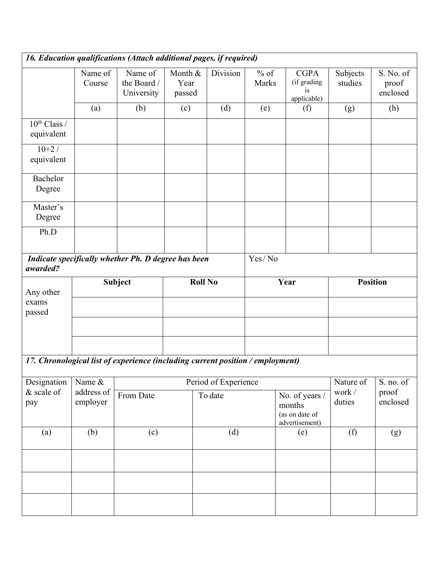|                                 |                        | 16. Education qualifications (Attach additional pages, if required)            |                           |                      |                 |                                                              |                     |                                |
|---------------------------------|------------------------|--------------------------------------------------------------------------------|---------------------------|----------------------|-----------------|--------------------------------------------------------------|---------------------|--------------------------------|
|                                 | Name of<br>Course      | Name of<br>the Board /<br>University                                           | Month &<br>Year<br>passed | Division             | $%$ of<br>Marks | <b>CGPA</b><br>(if grading<br>1S<br>applicable)              | Subjects<br>studies | S. No. of<br>proof<br>enclosed |
|                                 | (a)                    | (b)                                                                            | (c)                       | (d)                  | (e)             | (f)                                                          | (g)                 | (h)                            |
| $10^{th}$ Class /<br>equivalent |                        |                                                                                |                           |                      |                 |                                                              |                     |                                |
| $10+2/$<br>equivalent           |                        |                                                                                |                           |                      |                 |                                                              |                     |                                |
| <b>Bachelor</b><br>Degree       |                        |                                                                                |                           |                      |                 |                                                              |                     |                                |
| Master's<br>Degree              |                        |                                                                                |                           |                      |                 |                                                              |                     |                                |
| Ph.D                            |                        |                                                                                |                           |                      |                 |                                                              |                     |                                |
| awarded?                        |                        | Indicate specifically whether Ph. D degree has been                            |                           |                      | Yes/No          |                                                              |                     |                                |
| Any other                       | <b>Subject</b>         |                                                                                | <b>Roll No</b>            |                      | Year            |                                                              | <b>Position</b>     |                                |
| exams<br>passed                 |                        |                                                                                |                           |                      |                 |                                                              |                     |                                |
|                                 |                        |                                                                                |                           |                      |                 |                                                              |                     |                                |
|                                 |                        |                                                                                |                           |                      |                 |                                                              |                     |                                |
|                                 |                        | 17. Chronological list of experience (including current position / employment) |                           |                      |                 |                                                              |                     |                                |
| Designation                     | Name &                 |                                                                                |                           | Period of Experience |                 |                                                              | Nature of           | S. no. of                      |
| & scale of<br>pay               | address of<br>employer | From Date                                                                      |                           | To date              |                 | No. of years /<br>months<br>(as on date of<br>advertisement) | work /<br>duties    | proof<br>enclosed              |
| (a)                             | (b)                    | (c)                                                                            |                           | (d)                  |                 | (e)                                                          | (f)                 | (g)                            |
|                                 |                        |                                                                                |                           |                      |                 |                                                              |                     |                                |
|                                 |                        |                                                                                |                           |                      |                 |                                                              |                     |                                |
|                                 |                        |                                                                                |                           |                      |                 |                                                              |                     |                                |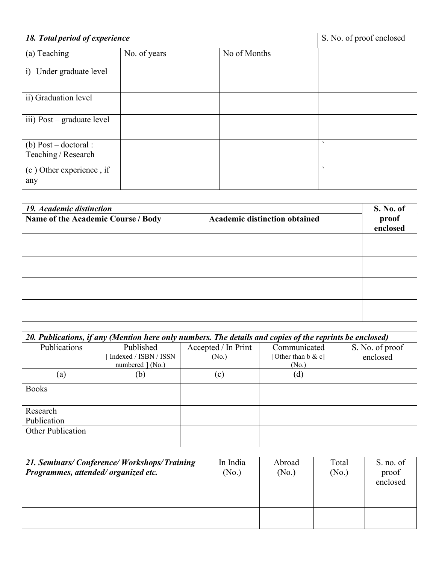| 18. Total period of experience               |              | S. No. of proof enclosed |         |
|----------------------------------------------|--------------|--------------------------|---------|
| (a) Teaching                                 | No. of years | No of Months             |         |
| i) Under graduate level                      |              |                          |         |
| ii) Graduation level                         |              |                          |         |
| iii) Post – graduate level                   |              |                          |         |
| (b) Post – doctoral :<br>Teaching / Research |              |                          | $\cdot$ |
| (c) Other experience, if<br>any              |              |                          | $\cdot$ |

| 19. Academic distinction           |                                      |                   |  |  |  |  |
|------------------------------------|--------------------------------------|-------------------|--|--|--|--|
| Name of the Academic Course / Body | <b>Academic distinction obtained</b> | proof<br>enclosed |  |  |  |  |
|                                    |                                      |                   |  |  |  |  |
|                                    |                                      |                   |  |  |  |  |
|                                    |                                      |                   |  |  |  |  |
|                                    |                                      |                   |  |  |  |  |

| 20. Publications, if any (Mention here only numbers. The details and copies of the reprints be enclosed) |                       |                     |                       |                 |  |  |  |  |  |
|----------------------------------------------------------------------------------------------------------|-----------------------|---------------------|-----------------------|-----------------|--|--|--|--|--|
| Publications                                                                                             | Published             | Accepted / In Print | Communicated          | S. No. of proof |  |  |  |  |  |
|                                                                                                          | Indexed / ISBN / ISSN | (N <sub>0</sub> )   | [Other than $b & c$ ] | enclosed        |  |  |  |  |  |
|                                                                                                          | numbered $(No.)$      |                     | (N <sub>0</sub> )     |                 |  |  |  |  |  |
| (a)                                                                                                      | (b)                   | (c)                 | (d)                   |                 |  |  |  |  |  |
| <b>Books</b>                                                                                             |                       |                     |                       |                 |  |  |  |  |  |
| Research                                                                                                 |                       |                     |                       |                 |  |  |  |  |  |
| Publication                                                                                              |                       |                     |                       |                 |  |  |  |  |  |
| <b>Other Publication</b>                                                                                 |                       |                     |                       |                 |  |  |  |  |  |

| 21. Seminars/Conference/Workshops/Training<br>Programmes, attended/organized etc. | In India<br>(No.) | Abroad<br>(No.) | Total<br>(No.) | S. no. of<br>proof<br>enclosed |
|-----------------------------------------------------------------------------------|-------------------|-----------------|----------------|--------------------------------|
|                                                                                   |                   |                 |                |                                |
|                                                                                   |                   |                 |                |                                |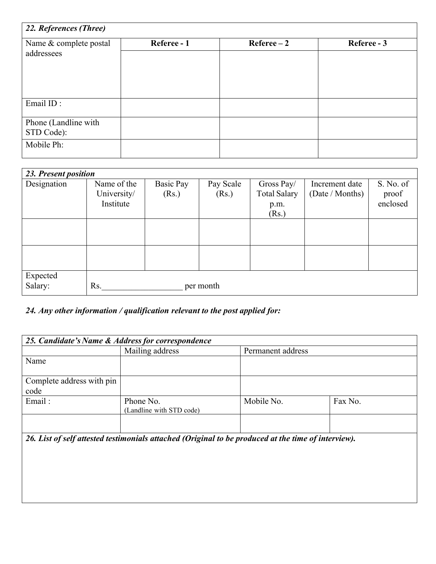| 22. References (Three)               |             |                 |             |  |  |  |  |  |  |
|--------------------------------------|-------------|-----------------|-------------|--|--|--|--|--|--|
| Name & complete postal<br>addressees | Referee - 1 | $Reference - 2$ | Referee - 3 |  |  |  |  |  |  |
| Email ID:                            |             |                 |             |  |  |  |  |  |  |
| Phone (Landline with<br>STD Code):   |             |                 |             |  |  |  |  |  |  |
| Mobile Ph:                           |             |                 |             |  |  |  |  |  |  |

| 23. Present position |             |                  |           |                     |                 |           |  |  |  |
|----------------------|-------------|------------------|-----------|---------------------|-----------------|-----------|--|--|--|
| Designation          | Name of the | <b>Basic Pay</b> | Pay Scale | Gross Pay/          | Increment date  | S. No. of |  |  |  |
|                      | University/ | (Rs.)            | (Rs.)     | <b>Total Salary</b> | (Date / Months) | proof     |  |  |  |
|                      | Institute   |                  |           | p.m.                |                 | enclosed  |  |  |  |
|                      |             |                  |           | (Rs.)               |                 |           |  |  |  |
|                      |             |                  |           |                     |                 |           |  |  |  |
|                      |             |                  |           |                     |                 |           |  |  |  |
|                      |             |                  |           |                     |                 |           |  |  |  |
|                      |             |                  |           |                     |                 |           |  |  |  |
|                      |             |                  |           |                     |                 |           |  |  |  |
| Expected             |             |                  |           |                     |                 |           |  |  |  |
| Salary:              | Rs.         | per month        |           |                     |                 |           |  |  |  |

## *24. Any other information / qualification relevant to the post applied for:*

| 25. Candidate's Name & Address for correspondence |                                                                                                     |                   |         |  |  |  |  |
|---------------------------------------------------|-----------------------------------------------------------------------------------------------------|-------------------|---------|--|--|--|--|
|                                                   | Mailing address                                                                                     | Permanent address |         |  |  |  |  |
| Name                                              |                                                                                                     |                   |         |  |  |  |  |
| Complete address with pin                         |                                                                                                     |                   |         |  |  |  |  |
| code                                              |                                                                                                     |                   |         |  |  |  |  |
| Email:                                            | Phone No.<br>(Landline with STD code)                                                               | Mobile No.        | Fax No. |  |  |  |  |
|                                                   | 26. List of self attested testimonials attached (Original to be produced at the time of interview). |                   |         |  |  |  |  |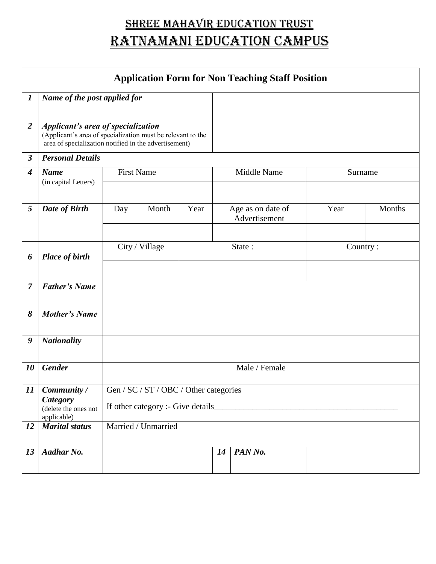## SHREE MAHAVIR EDUCATION TRUST RATNAMANI EDUCATION CAMPUS

|                  |                                                                                                                                                            |                   |                                        |                    |    | <b>Application Form for Non Teaching Staff Position</b> |      |         |
|------------------|------------------------------------------------------------------------------------------------------------------------------------------------------------|-------------------|----------------------------------------|--------------------|----|---------------------------------------------------------|------|---------|
| $\boldsymbol{l}$ | Name of the post applied for                                                                                                                               |                   |                                        |                    |    |                                                         |      |         |
| $\overline{2}$   | Applicant's area of specialization<br>(Applicant's area of specialization must be relevant to the<br>area of specialization notified in the advertisement) |                   |                                        |                    |    |                                                         |      |         |
| $\overline{3}$   | <b>Personal Details</b>                                                                                                                                    |                   |                                        |                    |    |                                                         |      |         |
| $\boldsymbol{4}$ | <b>Name</b>                                                                                                                                                | <b>First Name</b> |                                        |                    |    | Middle Name                                             |      | Surname |
|                  | (in capital Letters)                                                                                                                                       |                   |                                        |                    |    |                                                         |      |         |
| 5                | Date of Birth                                                                                                                                              | Day               | Month                                  | Year               |    | Age as on date of<br>Advertisement                      | Year | Months  |
|                  |                                                                                                                                                            |                   |                                        |                    |    |                                                         |      |         |
| 6                | <b>Place of birth</b>                                                                                                                                      |                   | City / Village                         | State:<br>Country: |    |                                                         |      |         |
|                  |                                                                                                                                                            |                   |                                        |                    |    |                                                         |      |         |
| $\overline{7}$   | <b>Father's Name</b>                                                                                                                                       |                   |                                        |                    |    |                                                         |      |         |
| 8                | <b>Mother's Name</b>                                                                                                                                       |                   |                                        |                    |    |                                                         |      |         |
| 9                | <b>Nationality</b>                                                                                                                                         |                   |                                        |                    |    |                                                         |      |         |
| 10               | <b>Gender</b>                                                                                                                                              |                   |                                        |                    |    | Male / Female                                           |      |         |
| 11               | Community /                                                                                                                                                |                   | Gen / SC / ST / OBC / Other categories |                    |    |                                                         |      |         |
|                  | Category<br>(delete the ones not<br>applicable)                                                                                                            |                   |                                        |                    |    |                                                         |      |         |
| 12               | <b>Marital status</b>                                                                                                                                      |                   | Married / Unmarried                    |                    |    |                                                         |      |         |
| 13               | Aadhar No.                                                                                                                                                 |                   |                                        |                    | 14 | PAN No.                                                 |      |         |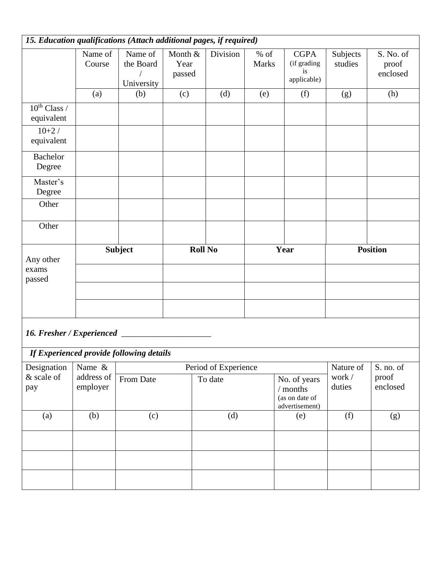| 15. Education qualifications (Attach additional pages, if required) |                        |                                          |                           |                      |                        |                                                              |                     |                                |
|---------------------------------------------------------------------|------------------------|------------------------------------------|---------------------------|----------------------|------------------------|--------------------------------------------------------------|---------------------|--------------------------------|
|                                                                     | Name of<br>Course      | Name of<br>the Board<br>University       | Month &<br>Year<br>passed | Division             | $%$ of<br><b>Marks</b> | <b>CGPA</b><br>(if grading<br>is<br>applicable)              | Subjects<br>studies | S. No. of<br>proof<br>enclosed |
|                                                                     | (a)                    | (b)                                      | (c)                       | (d)                  | (e)                    | (f)                                                          | (g)                 | (h)                            |
| $10^{th}$ Class /<br>equivalent                                     |                        |                                          |                           |                      |                        |                                                              |                     |                                |
| $10+2/$<br>equivalent                                               |                        |                                          |                           |                      |                        |                                                              |                     |                                |
| <b>Bachelor</b><br>Degree                                           |                        |                                          |                           |                      |                        |                                                              |                     |                                |
| Master's<br>Degree                                                  |                        |                                          |                           |                      |                        |                                                              |                     |                                |
| Other                                                               |                        |                                          |                           |                      |                        |                                                              |                     |                                |
| Other                                                               |                        |                                          |                           |                      |                        |                                                              |                     |                                |
| Any other                                                           | <b>Subject</b>         |                                          | <b>Roll No</b>            |                      | Year                   |                                                              | <b>Position</b>     |                                |
| exams<br>passed                                                     |                        |                                          |                           |                      |                        |                                                              |                     |                                |
|                                                                     |                        |                                          |                           |                      |                        |                                                              |                     |                                |
|                                                                     |                        |                                          |                           |                      |                        |                                                              |                     |                                |
| 16. Fresher / Experienced                                           |                        |                                          |                           |                      |                        |                                                              |                     |                                |
|                                                                     |                        | If Experienced provide following details |                           |                      |                        |                                                              |                     |                                |
| Designation                                                         | Name &                 |                                          |                           | Period of Experience |                        |                                                              | Nature of           | S. no. of                      |
| & scale of<br>pay                                                   | address of<br>employer | From Date                                |                           | To date              |                        | No. of years<br>/ months<br>(as on date of<br>advertisement) | work /<br>duties    | proof<br>enclosed              |
| (a)                                                                 | (b)                    | (c)                                      |                           | (d)                  |                        | (e)                                                          | (f)                 | (g)                            |
|                                                                     |                        |                                          |                           |                      |                        |                                                              |                     |                                |
|                                                                     |                        |                                          |                           |                      |                        |                                                              |                     |                                |
|                                                                     |                        |                                          |                           |                      |                        |                                                              |                     |                                |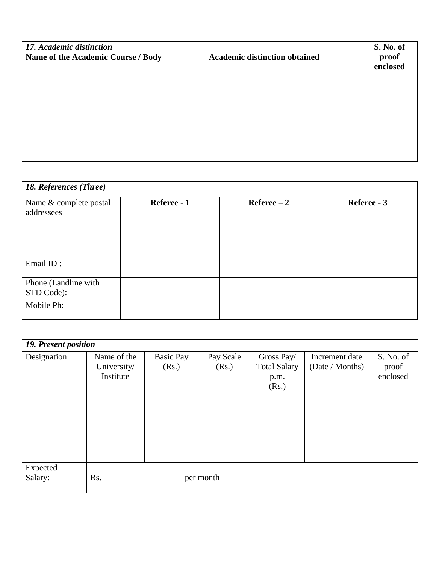| 17. Academic distinction           | S. No. of                            |                   |
|------------------------------------|--------------------------------------|-------------------|
| Name of the Academic Course / Body | <b>Academic distinction obtained</b> | proof<br>enclosed |
|                                    |                                      |                   |
|                                    |                                      |                   |
|                                    |                                      |                   |
|                                    |                                      |                   |
|                                    |                                      |                   |

| 18. References (Three)               |             |                 |             |  |  |  |  |
|--------------------------------------|-------------|-----------------|-------------|--|--|--|--|
| Name & complete postal<br>addressees | Referee - 1 | $Reference - 2$ | Referee - 3 |  |  |  |  |
| Email ID:                            |             |                 |             |  |  |  |  |
| Phone (Landline with<br>STD Code):   |             |                 |             |  |  |  |  |
| Mobile Ph:                           |             |                 |             |  |  |  |  |

| <b>19. Present position</b> |                                         |                           |                    |                                                    |                                   |                                |  |
|-----------------------------|-----------------------------------------|---------------------------|--------------------|----------------------------------------------------|-----------------------------------|--------------------------------|--|
| Designation                 | Name of the<br>University/<br>Institute | <b>Basic Pay</b><br>(Rs.) | Pay Scale<br>(Rs.) | Gross Pay/<br><b>Total Salary</b><br>p.m.<br>(Rs.) | Increment date<br>(Date / Months) | S. No. of<br>proof<br>enclosed |  |
|                             |                                         |                           |                    |                                                    |                                   |                                |  |
|                             |                                         |                           |                    |                                                    |                                   |                                |  |
| Expected<br>Salary:         | Rs.                                     |                           | per month          |                                                    |                                   |                                |  |